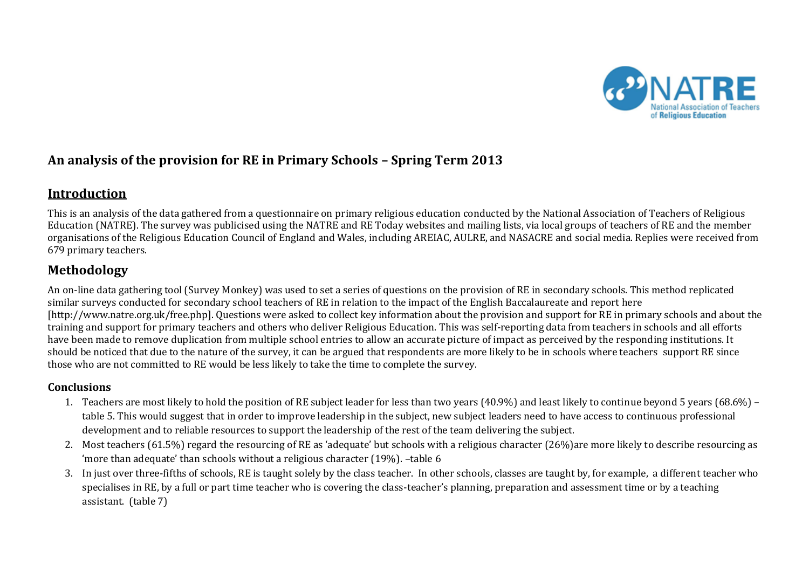

## **An analysis of the provision for RE in Primary Schools – Spring Term 2013**

## **Introduction**

This is an analysis of the data gathered from a questionnaire on primary religious education conducted by the National Association of Teachers of Religious Education (NATRE). The survey was publicised using the NATRE and RE Today websites and mailing lists, via local groups of teachers of RE and the member organisations of the Religious Education Council of England and Wales, including AREIAC, AULRE, and NASACRE and social media. Replies were received from 679 primary teachers.

# **Methodology**

An on-line data gathering tool (Survey Monkey) was used to set a series of questions on the provision of RE in secondary schools. This method replicated similar surveys conducted for secondary school teachers of RE in relation to the impact of the English Baccalaureate and report here [http://www.natre.org.uk/free.php]. Questions were asked to collect key information about the provision and support for RE in primary schools and about the training and support for primary teachers and others who deliver Religious Education. This was self-reporting data from teachers in schools and all efforts have been made to remove duplication from multiple school entries to allow an accurate picture of impact as perceived by the responding institutions. It should be noticed that due to the nature of the survey, it can be argued that respondents are more likely to be in schools where teachers support RE since those who are not committed to RE would be less likely to take the time to complete the survey.

## **Conclusions**

- 1. Teachers are most likely to hold the position of RE subject leader for less than two years (40.9%) and least likely to continue beyond 5 years (68.6%) table 5. This would suggest that in order to improve leadership in the subject, new subject leaders need to have access to continuous professional development and to reliable resources to support the leadership of the rest of the team delivering the subject.
- 2. Most teachers (61.5%) regard the resourcing of RE as 'adequate' but schools with a religious character (26%)are more likely to describe resourcing as 'more than adequate' than schools without a religious character (19%). –table 6
- 3. In just over three-fifths of schools, RE is taught solely by the class teacher. In other schools, classes are taught by, for example, a different teacher who specialises in RE, by a full or part time teacher who is covering the class-teacher's planning, preparation and assessment time or by a teaching assistant. (table 7)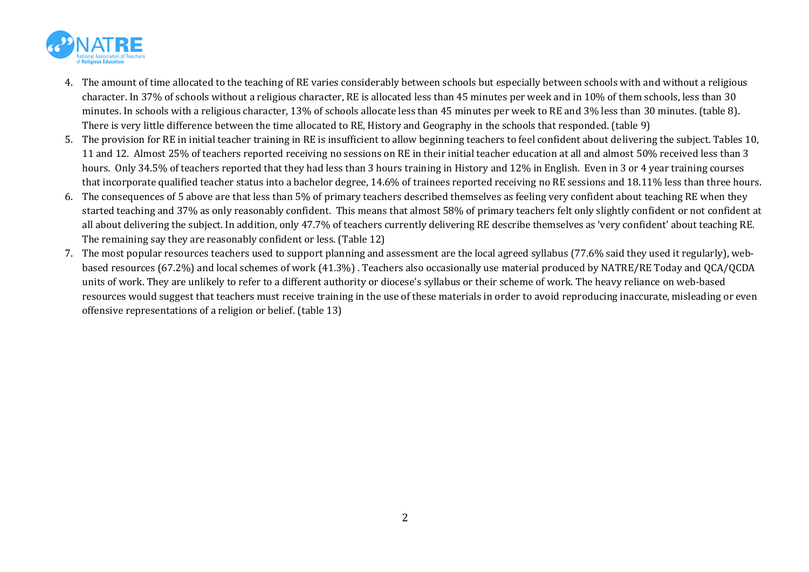

- 4. The amount of time allocated to the teaching of RE varies considerably between schools but especially between schools with and without a religious character. In 37% of schools without a religious character, RE is allocated less than 45 minutes per week and in 10% of them schools, less than 30 minutes. In schools with a religious character, 13% of schools allocate less than 45 minutes per week to RE and 3% less than 30 minutes. (table 8). There is very little difference between the time allocated to RE, History and Geography in the schools that responded. (table 9)
- 5. The provision for RE in initial teacher training in RE is insufficient to allow beginning teachers to feel confident about delivering the subject. Tables 10, 11 and 12. Almost 25% of teachers reported receiving no sessions on RE in their initial teacher education at all and almost 50% received less than 3 hours. Only 34.5% of teachers reported that they had less than 3 hours training in History and 12% in English. Even in 3 or 4 year training courses that incorporate qualified teacher status into a bachelor degree, 14.6% of trainees reported receiving no RE sessions and 18.11% less than three hours.
- 6. The consequences of 5 above are that less than 5% of primary teachers described themselves as feeling very confident about teaching RE when they started teaching and 37% as only reasonably confident. This means that almost 58% of primary teachers felt only slightly confident or not confident at all about delivering the subject. In addition, only 47.7% of teachers currently delivering RE describe themselves as 'very confident' about teaching RE. The remaining say they are reasonably confident or less. (Table 12)
- 7. The most popular resources teachers used to support planning and assessment are the local agreed syllabus (77.6% said they used it regularly), webbased resources (67.2%) and local schemes of work (41.3%) . Teachers also occasionally use material produced by NATRE/RE Today and QCA/QCDA units of work. They are unlikely to refer to a different authority or diocese's syllabus or their scheme of work. The heavy reliance on web-based resources would suggest that teachers must receive training in the use of these materials in order to avoid reproducing inaccurate, misleading or even offensive representations of a religion or belief. (table 13)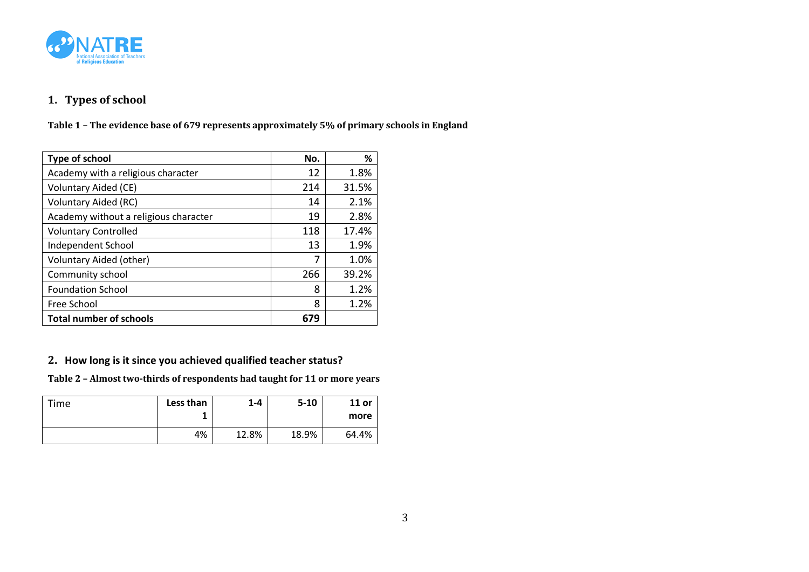

## **1. Types of school**

**Table 1 – The evidence base of 679 represents approximately 5% of primary schools in England**

| Type of school                        | No. | ℅     |
|---------------------------------------|-----|-------|
| Academy with a religious character    | 12  | 1.8%  |
| <b>Voluntary Aided (CE)</b>           | 214 | 31.5% |
| <b>Voluntary Aided (RC)</b>           | 14  | 2.1%  |
| Academy without a religious character | 19  | 2.8%  |
| <b>Voluntary Controlled</b>           | 118 | 17.4% |
| Independent School                    | 13  | 1.9%  |
| Voluntary Aided (other)               | 7   | 1.0%  |
| Community school                      | 266 | 39.2% |
| <b>Foundation School</b>              | 8   | 1.2%  |
| Free School                           | 8   | 1.2%  |
| <b>Total number of schools</b>        | 679 |       |

### **2. How long is it since you achieved qualified teacher status?**

**Table 2 – Almost two-thirds of respondents had taught for 11 or more years** 

| Time | Less than | $1 - 4$ | $5 - 10$ | $11$ or<br>more |
|------|-----------|---------|----------|-----------------|
|      | 4%        | 12.8%   | 18.9%    | 64.4%           |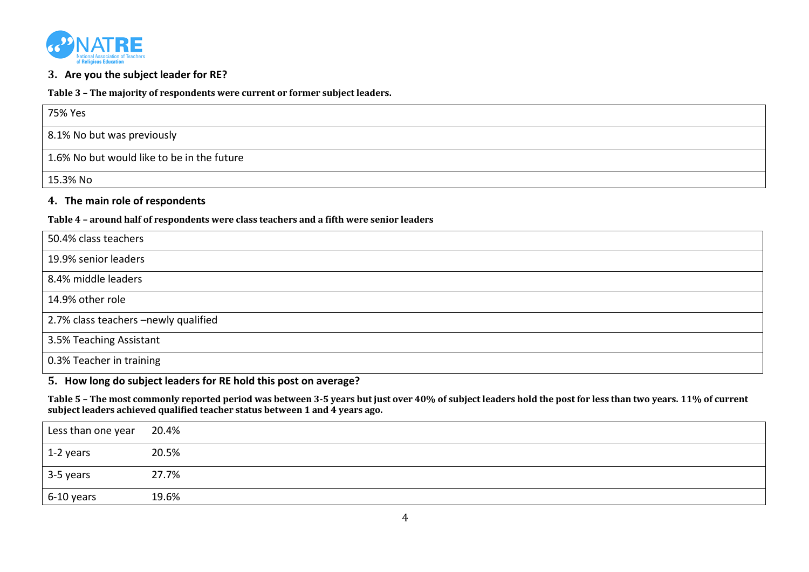

#### **3. Are you the subject leader for RE?**

**Table 3 – The majority of respondents were current or former subject leaders.** 

| 75% Yes                                    |
|--------------------------------------------|
| 8.1% No but was previously                 |
| 1.6% No but would like to be in the future |
| 15.3% No                                   |

#### **4. The main role of respondents**

**Table 4 – around half of respondents were class teachers and a fifth were senior leaders**

| 50.4% class teachers                 |
|--------------------------------------|
| 19.9% senior leaders                 |
| 8.4% middle leaders                  |
| 14.9% other role                     |
| 2.7% class teachers -newly qualified |
| 3.5% Teaching Assistant              |
| 0.3% Teacher in training             |

#### **5. How long do subject leaders for RE hold this post on average?**

**Table 5 – The most commonly reported period was between 3-5 years but just over 40% of subject leaders hold the post for less than two years. 11% of current subject leaders achieved qualified teacher status between 1 and 4 years ago.**

| Less than one year | 20.4% |
|--------------------|-------|
| 1-2 years          | 20.5% |
| 3-5 years          | 27.7% |
| 6-10 years         | 19.6% |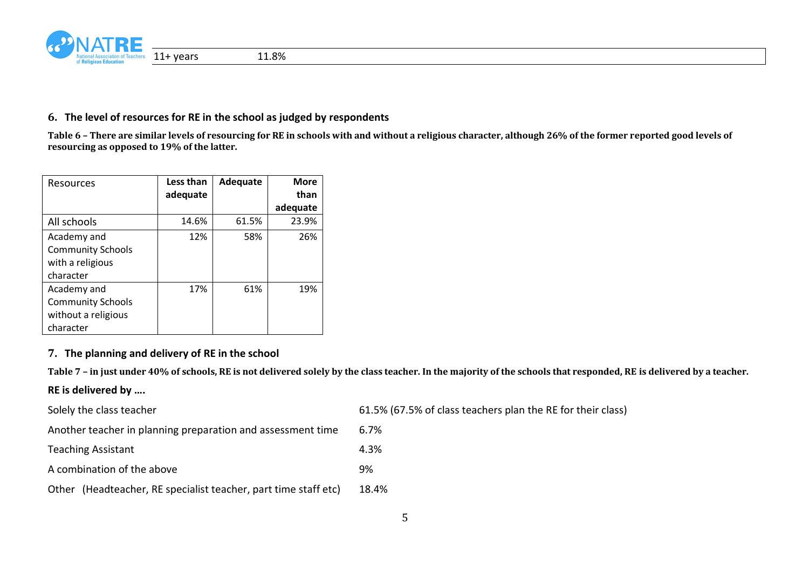

#### **6. The level of resources for RE in the school as judged by respondents**

**Table 6 – There are similar levels of resourcing for RE in schools with and without a religious character, although 26% of the former reported good levels of resourcing as opposed to 19% of the latter.**

| Resources                | Less than | Adequate | <b>More</b> |
|--------------------------|-----------|----------|-------------|
|                          | adequate  |          | than        |
|                          |           |          | adequate    |
| All schools              | 14.6%     | 61.5%    | 23.9%       |
| Academy and              | 12%       | 58%      | 26%         |
| <b>Community Schools</b> |           |          |             |
| with a religious         |           |          |             |
| character                |           |          |             |
| Academy and              | 17%       | 61%      | 19%         |
| <b>Community Schools</b> |           |          |             |
| without a religious      |           |          |             |
| character                |           |          |             |

#### **7. The planning and delivery of RE in the school**

**Table 7 – in just under 40% of schools, RE is not delivered solely by the class teacher. In the majority of the schools that responded, RE is delivered by a teacher.**

## **RE is delivered by ….**

| Solely the class teacher                                        | 61.5% (67.5% of class teachers plan the RE for their class) |
|-----------------------------------------------------------------|-------------------------------------------------------------|
| Another teacher in planning preparation and assessment time     | 6.7%                                                        |
| <b>Teaching Assistant</b>                                       | 4.3%                                                        |
| A combination of the above                                      | 9%                                                          |
| Other (Headteacher, RE specialist teacher, part time staff etc) | 18.4%                                                       |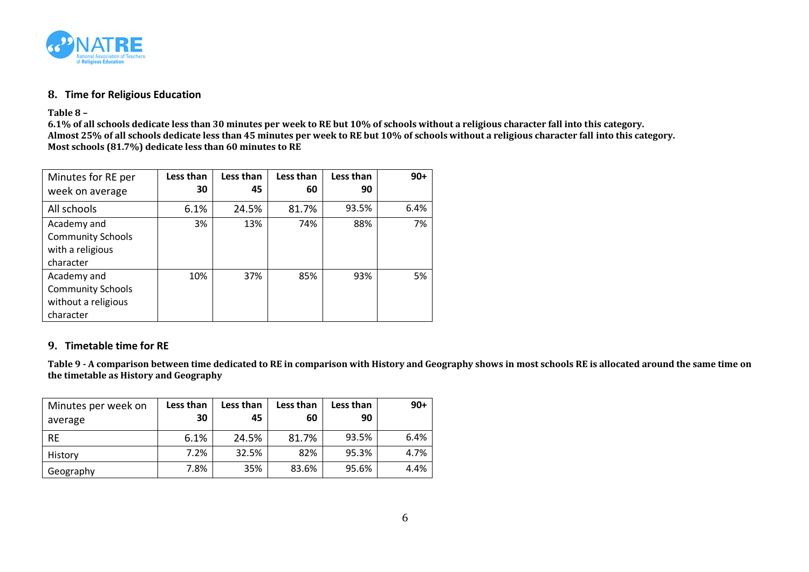

#### **8. Time for Religious Education**

**Table 8 –**

**6.1% of all schools dedicate less than 30 minutes per week to RE but 10% of schools without a religious character fall into this category. Almost 25% of all schools dedicate less than 45 minutes per week to RE but 10% of schools without a religious character fall into this category. Most schools (81.7%) dedicate less than 60 minutes to RE**

| Minutes for RE per       | Less than | Less than | Less than | Less than | $90+$ |
|--------------------------|-----------|-----------|-----------|-----------|-------|
| week on average          | 30        | 45        | 60        | 90        |       |
| All schools              | 6.1%      | 24.5%     | 81.7%     | 93.5%     | 6.4%  |
| Academy and              | 3%        | 13%       | 74%       | 88%       | 7%    |
| <b>Community Schools</b> |           |           |           |           |       |
| with a religious         |           |           |           |           |       |
| character                |           |           |           |           |       |
| Academy and              | 10%       | 37%       | 85%       | 93%       | 5%    |
| <b>Community Schools</b> |           |           |           |           |       |
| without a religious      |           |           |           |           |       |
| character                |           |           |           |           |       |

### **9. Timetable time for RE**

**Table 9 - A comparison between time dedicated to RE in comparison with History and Geography shows in most schools RE is allocated around the same time on the timetable as History and Geography**

| Minutes per week on<br>average | Less than<br>30 | Less than<br>45 | Less than<br>60 | Less than<br>90 | $90+$ |
|--------------------------------|-----------------|-----------------|-----------------|-----------------|-------|
| <b>RE</b>                      | 6.1%            | 24.5%           | 81.7%           | 93.5%           | 6.4%  |
| History                        | 7.2%            | 32.5%           | 82%             | 95.3%           | 4.7%  |
| Geography                      | 7.8%            | 35%             | 83.6%           | 95.6%           | 4.4%  |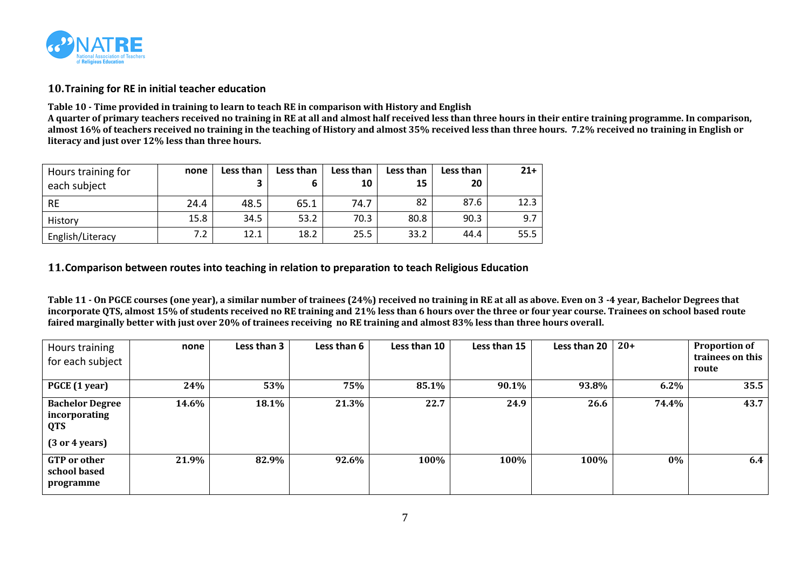

#### **10.Training for RE in initial teacher education**

**Table 10 - Time provided in training to learn to teach RE in comparison with History and English**

**A quarter of primary teachers received no training in RE at all and almost half received less than three hours in their entire training programme. In comparison, almost 16% of teachers received no training in the teaching of History and almost 35% received less than three hours. 7.2% received no training in English or literacy and just over 12% less than three hours.**

| Hours training for<br>each subject | none | Less than<br>3 | Less than | Less than<br>10 | Less than<br>15 | Less than<br>20 | $21+$ |
|------------------------------------|------|----------------|-----------|-----------------|-----------------|-----------------|-------|
| <b>RE</b>                          | 24.4 | 48.5           | 65.1      | 74.7            | 82              | 87.6            | 12.3  |
| History                            | 15.8 | 34.5           | 53.2      | 70.3            | 80.8            | 90.3            | 9.7   |
| English/Literacy                   | 7.2  | 12.1           | 18.2      | 25.5            | 33.2            | 44.4            | 55.5  |

#### **11.Comparison between routes into teaching in relation to preparation to teach Religious Education**

**Table 11 - On PGCE courses (one year), a similar number of trainees (24%) received no training in RE at all as above. Even on 3 -4 year, Bachelor Degrees that incorporate QTS, almost 15% of students received no RE training and 21% less than 6 hours over the three or four year course. Trainees on school based route faired marginally better with just over 20% of trainees receiving no RE training and almost 83% less than three hours overall.**

| Hours training<br>for each subject                                                         | none  | Less than 3 | Less than 6 | Less than 10 | Less than 15 | Less than 20 | $20+$ | <b>Proportion of</b><br>trainees on this<br>route |
|--------------------------------------------------------------------------------------------|-------|-------------|-------------|--------------|--------------|--------------|-------|---------------------------------------------------|
| PGCE (1 year)                                                                              | 24%   | 53%         | 75%         | 85.1%        | 90.1%        | 93.8%        | 6.2%  | 35.5                                              |
| <b>Bachelor Degree</b><br>incorporating<br><b>QTS</b><br>$(3 \text{ or } 4 \text{ years})$ | 14.6% | 18.1%       | 21.3%       | 22.7         | 24.9         | 26.6         | 74.4% | 43.7                                              |
| <b>GTP</b> or other<br>school based<br>programme                                           | 21.9% | 82.9%       | 92.6%       | 100%         | 100%         | 100%         | $0\%$ | 6.4                                               |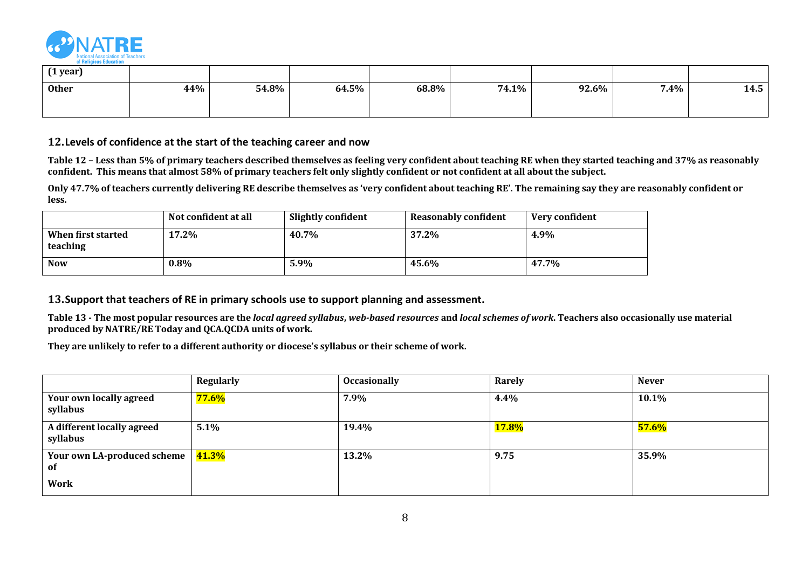

| (1 year)     |     |       |       |       |       |       |         |      |
|--------------|-----|-------|-------|-------|-------|-------|---------|------|
| <b>Other</b> | 44% | 54.8% | 64.5% | 68.8% | 74.1% | 92.6% | $7.4\%$ | 14.5 |
|              |     |       |       |       |       |       |         |      |

#### **12.Levels of confidence at the start of the teaching career and now**

**Table 12 – Less than 5% of primary teachers described themselves as feeling very confident about teaching RE when they started teaching and 37% as reasonably confident. This means that almost 58% of primary teachers felt only slightly confident or not confident at all about the subject.**

**Only 47.7% of teachers currently delivering RE describe themselves as 'very confident about teaching RE'. The remaining say they are reasonably confident or less.**

|                                | Not confident at all | <b>Slightly confident</b> | <b>Reasonably confident</b> | Very confident |
|--------------------------------|----------------------|---------------------------|-----------------------------|----------------|
| When first started<br>teaching | 17.2%                | 40.7%                     | 37.2%                       | 4.9%           |
| <b>Now</b>                     | $0.8\%$              | 5.9%                      | 45.6%                       | 47.7%          |

#### **13.Support that teachers of RE in primary schools use to support planning and assessment.**

**Table 13 - The most popular resources are the** *local agreed syllabus***,** *web-based resources* **and** *local schemes of work***. Teachers also occasionally use material produced by NATRE/RE Today and QCA.QCDA units of work.** 

**They are unlikely to refer to a different authority or diocese's syllabus or their scheme of work.**

|                                        | <b>Regularly</b> | <b>Occasionally</b> | Rarely       | <b>Never</b> |
|----------------------------------------|------------------|---------------------|--------------|--------------|
| Your own locally agreed<br>syllabus    | $77.6\%$         | 7.9%                | 4.4%         | 10.1%        |
| A different locally agreed<br>syllabus | 5.1%             | 19.4%               | <b>17.8%</b> | 57.6%        |
| Your own LA-produced scheme<br>-of     | 41.3%            | 13.2%               | 9.75         | 35.9%        |
| <b>Work</b>                            |                  |                     |              |              |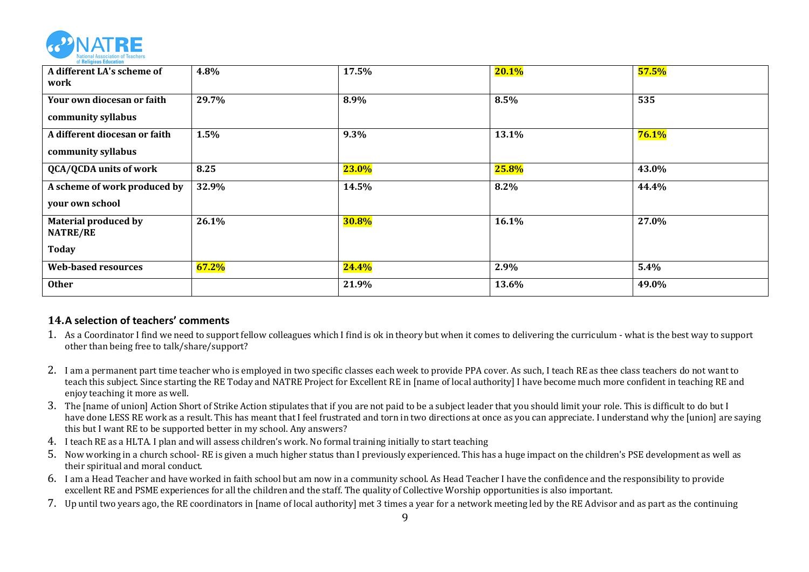

| A different LA's scheme of<br>work                             | 4.8%  | 17.5%        | 20.1% | 57.5% |
|----------------------------------------------------------------|-------|--------------|-------|-------|
| Your own diocesan or faith<br>community syllabus               | 29.7% | 8.9%         | 8.5%  | 535   |
| A different diocesan or faith<br>community syllabus            | 1.5%  | 9.3%         | 13.1% | 76.1% |
| <b>QCA/QCDA</b> units of work                                  | 8.25  | 23.0%        | 25.8% | 43.0% |
| A scheme of work produced by<br>your own school                | 32.9% | 14.5%        | 8.2%  | 44.4% |
| <b>Material produced by</b><br><b>NATRE/RE</b><br><b>Today</b> | 26.1% | <b>30.8%</b> | 16.1% | 27.0% |
| <b>Web-based resources</b>                                     | 67.2% | 24.4%        | 2.9%  | 5.4%  |
| <b>Other</b>                                                   |       | 21.9%        | 13.6% | 49.0% |

### **14.A selection of teachers' comments**

- 1. As a Coordinator I find we need to support fellow colleagues which I find is ok in theory but when it comes to delivering the curriculum what is the best way to support other than being free to talk/share/support?
- 2. I am a permanent part time teacher who is employed in two specific classes each week to provide PPA cover. As such, I teach RE as thee class teachers do not want to teach this subject. Since starting the RE Today and NATRE Project for Excellent RE in [name of local authority] I have become much more confident in teaching RE and enjoy teaching it more as well.
- 3. The [name of union] Action Short of Strike Action stipulates that if you are not paid to be a subject leader that you should limit your role. This is difficult to do but I have done LESS RE work as a result. This has meant that I feel frustrated and torn in two directions at once as you can appreciate. I understand why the [union] are saying this but I want RE to be supported better in my school. Any answers?
- 4. I teach RE as a HLTA. I plan and will assess children's work. No formal training initially to start teaching
- 5. Now working in a church school- RE is given a much higher status than I previously experienced. This has a huge impact on the children's PSE development as well as their spiritual and moral conduct.
- 6. I am a Head Teacher and have worked in faith school but am now in a community school. As Head Teacher I have the confidence and the responsibility to provide excellent RE and PSME experiences for all the children and the staff. The quality of Collective Worship opportunities is also important.
- 7. Up until two years ago, the RE coordinators in [name of local authority] met 3 times a year for a network meeting led by the RE Advisor and as part as the continuing